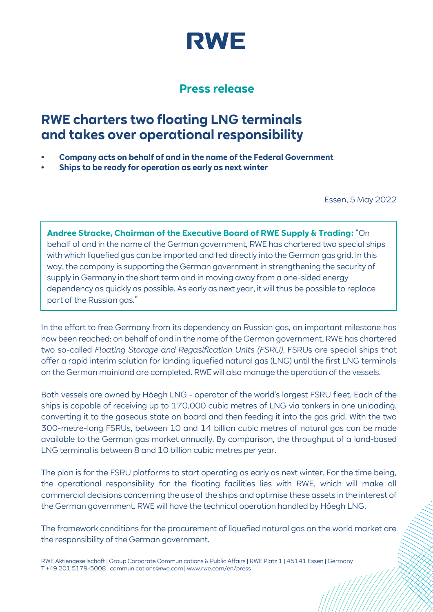

## **Press release**

## **RWE charters two floating LNG terminals and takes over operational responsibility**

- **• Company acts on behalf of and in the name of the Federal Government**
- **• Ships to be ready for operation as early as next winter**

Essen, 5 May 2022

**Andree Stracke, Chairman of the Executive Board of RWE Supply & Trading:** "On behalf of and in the name of the German government, RWE has chartered two special ships with which liquefied gas can be imported and fed directly into the German gas grid. In this way, the company is supporting the German government in strengthening the security of supply in Germany in the short term and in moving away from a one-sided energy dependency as quickly as possible. As early as next year, it will thus be possible to replace part of the Russian gas."

In the effort to free Germany from its dependency on Russian gas, an important milestone has now been reached: on behalf of and in the name of the German government, RWE has chartered two so-called *Floating Storage and Regasification Units (FSRU)*. FSRUs are special ships that offer a rapid interim solution for landing liquefied natural gas (LNG) until the first LNG terminals on the German mainland are completed. RWE will also manage the operation of the vessels.

Both vessels are owned by Höegh LNG - operator of the world's largest FSRU fleet. Each of the ships is capable of receiving up to 170,000 cubic metres of LNG via tankers in one unloading, converting it to the gaseous state on board and then feeding it into the gas grid. With the two 300-metre-long FSRUs, between 10 and 14 billion cubic metres of natural gas can be made available to the German gas market annually. By comparison, the throughput of a land-based LNG terminal is between 8 and 10 billion cubic metres per year.

The plan is for the FSRU platforms to start operating as early as next winter. For the time being, the operational responsibility for the floating facilities lies with RWE, which will make all commercial decisions concerning the use of the ships and optimise these assets in the interest of the German government. RWE will have the technical operation handled by Höegh LNG.

The framework conditions for the procurement of liquefied natural gas on the world market are the responsibility of the German government.

RWE Aktiengesellschaft | Group Corporate Communications & Public Affairs | RWE Platz 1 | 45141 Essen | Germany T +49 201 5179-5008 | communications@rwe.com | www.rwe.com/en/press